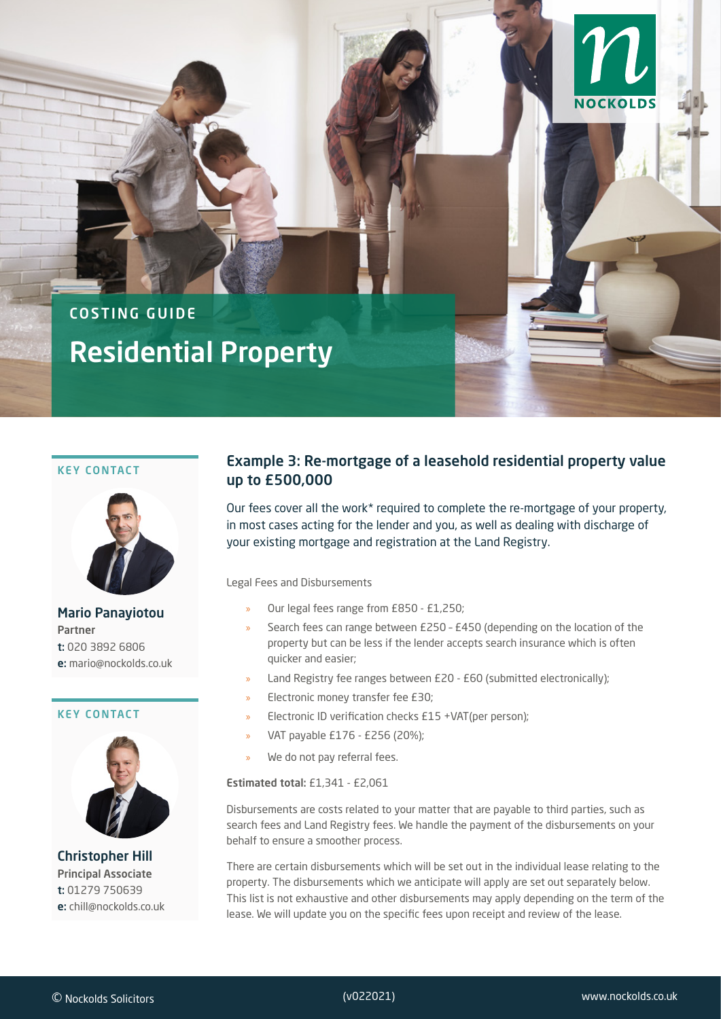# COSTING GUIDE Residential Property

#### KEY CONTACT



Mario Panayiotou Partner t: 020 3892 6806 e: mario@nockolds.co.uk

#### KEY CONTACT



Christopher Hill Principal Associate t: 01279 750639 e: chill@nockolds.co.uk

# Example 3: Re-mortgage of a leasehold residential property value up to £500,000

Costing Guide: Residential Property (Example 3)

NOCKO

Our fees cover all the work\* required to complete the re-mortgage of your property, in most cases acting for the lender and you, as well as dealing with discharge of your existing mortgage and registration at the Land Registry.

Legal Fees and Disbursements

- » Our legal fees range from £850 £1,250;
- » Search fees can range between £250 £450 (depending on the location of the property but can be less if the lender accepts search insurance which is often quicker and easier;
- » Land Registry fee ranges between £20 £60 (submitted electronically);
- » Electronic money transfer fee £30;
- » Electronic ID verification checks £15 +VAT(per person);
- » VAT payable £176 £256 (20%);
- We do not pay referral fees.

#### Estimated total: £1,341 - £2,061

Disbursements are costs related to your matter that are payable to third parties, such as search fees and Land Registry fees. We handle the payment of the disbursements on your behalf to ensure a smoother process.

There are certain disbursements which will be set out in the individual lease relating to the property. The disbursements which we anticipate will apply are set out separately below. This list is not exhaustive and other disbursements may apply depending on the term of the lease. We will update you on the specific fees upon receipt and review of the lease.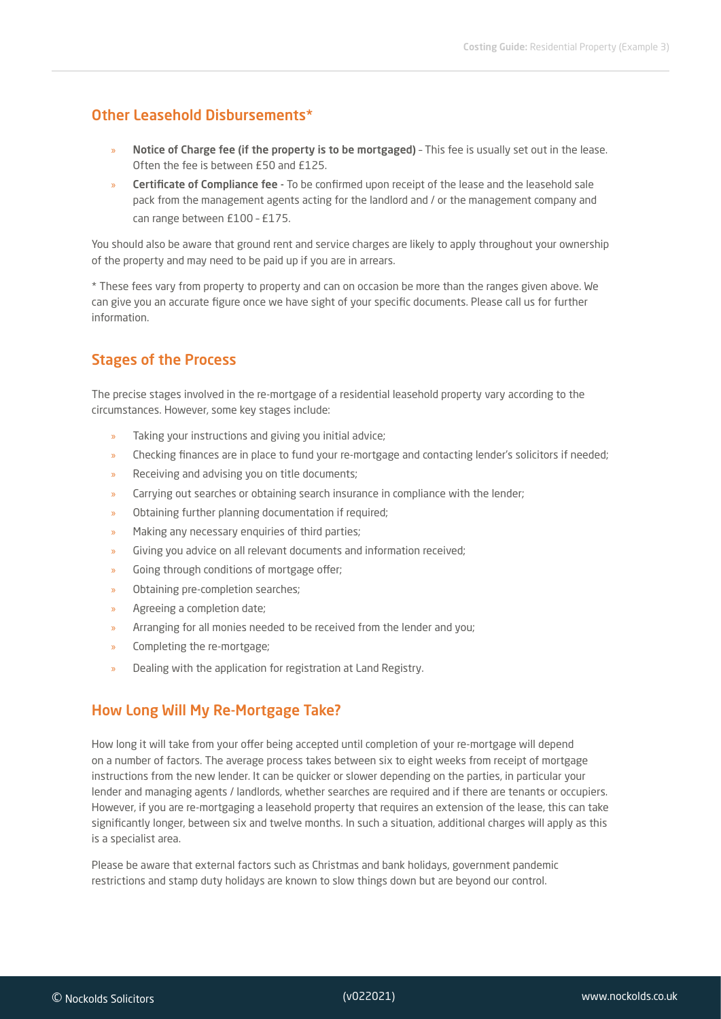## Other Leasehold Disbursements\*

- » Notice of Charge fee (if the property is to be mortgaged) This fee is usually set out in the lease. Often the fee is between £50 and £125.
- » Certificate of Compliance fee To be confirmed upon receipt of the lease and the leasehold sale pack from the management agents acting for the landlord and / or the management company and can range between £100 – £175.

You should also be aware that ground rent and service charges are likely to apply throughout your ownership of the property and may need to be paid up if you are in arrears.

\* These fees vary from property to property and can on occasion be more than the ranges given above. We can give you an accurate figure once we have sight of your specific documents. Please call us for further information.

## Stages of the Process

The precise stages involved in the re-mortgage of a residential leasehold property vary according to the circumstances. However, some key stages include:

- » Taking your instructions and giving you initial advice;
- » Checking finances are in place to fund your re-mortgage and contacting lender's solicitors if needed;
- » Receiving and advising you on title documents;
- » Carrying out searches or obtaining search insurance in compliance with the lender;
- » Obtaining further planning documentation if required;
- » Making any necessary enquiries of third parties;
- » Giving you advice on all relevant documents and information received;
- Going through conditions of mortgage offer;
- » Obtaining pre-completion searches;
- » Agreeing a completion date;
- » Arranging for all monies needed to be received from the lender and you;
- » Completing the re-mortgage;
- » Dealing with the application for registration at Land Registry.

### How Long Will My Re-Mortgage Take?

How long it will take from your offer being accepted until completion of your re-mortgage will depend on a number of factors. The average process takes between six to eight weeks from receipt of mortgage instructions from the new lender. It can be quicker or slower depending on the parties, in particular your lender and managing agents / landlords, whether searches are required and if there are tenants or occupiers. However, if you are re-mortgaging a leasehold property that requires an extension of the lease, this can take significantly longer, between six and twelve months. In such a situation, additional charges will apply as this is a specialist area.

Please be aware that external factors such as Christmas and bank holidays, government pandemic restrictions and stamp duty holidays are known to slow things down but are beyond our control.